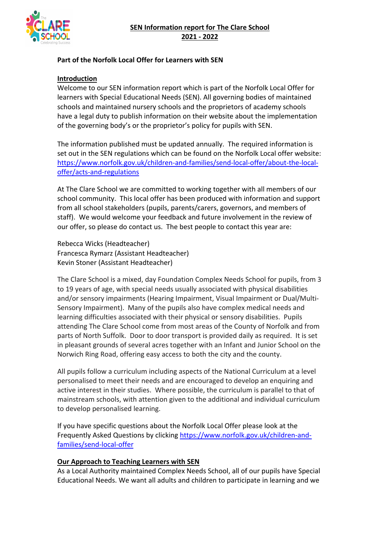

### **Part of the Norfolk Local Offer for Learners with SEN**

#### **Introduction**

Welcome to our SEN information report which is part of the Norfolk Local Offer for learners with Special Educational Needs (SEN). All governing bodies of maintained schools and maintained nursery schools and the proprietors of academy schools have a legal duty to publish information on their website about the implementation of the governing body's or the proprietor's policy for pupils with SEN.

The information published must be updated annually. The required information is set out in the SEN regulations which can be found on the Norfolk Local offer website: https://www.norfolk.gov.uk/children-and-families/send-local-offer/about-the-localoffer/acts-and-regulations

At The Clare School we are committed to working together with all members of our school community. This local offer has been produced with information and support from all school stakeholders (pupils, parents/carers, governors, and members of staff). We would welcome your feedback and future involvement in the review of our offer, so please do contact us. The best people to contact this year are:

Rebecca Wicks (Headteacher) Francesca Rymarz (Assistant Headteacher) Kevin Stoner (Assistant Headteacher)

The Clare School is a mixed, day Foundation Complex Needs School for pupils, from 3 to 19 years of age, with special needs usually associated with physical disabilities and/or sensory impairments (Hearing Impairment, Visual Impairment or Dual/Multi-Sensory Impairment). Many of the pupils also have complex medical needs and learning difficulties associated with their physical or sensory disabilities. Pupils attending The Clare School come from most areas of the County of Norfolk and from parts of North Suffolk. Door to door transport is provided daily as required. It is set in pleasant grounds of several acres together with an Infant and Junior School on the Norwich Ring Road, offering easy access to both the city and the county.

All pupils follow a curriculum including aspects of the National Curriculum at a level personalised to meet their needs and are encouraged to develop an enquiring and active interest in their studies. Where possible, the curriculum is parallel to that of mainstream schools, with attention given to the additional and individual curriculum to develop personalised learning.

If you have specific questions about the Norfolk Local Offer please look at the Frequently Asked Questions by clicking https://www.norfolk.gov.uk/children-andfamilies/send-local-offer

#### **Our Approach to Teaching Learners with SEN**

As a Local Authority maintained Complex Needs School, all of our pupils have Special Educational Needs. We want all adults and children to participate in learning and we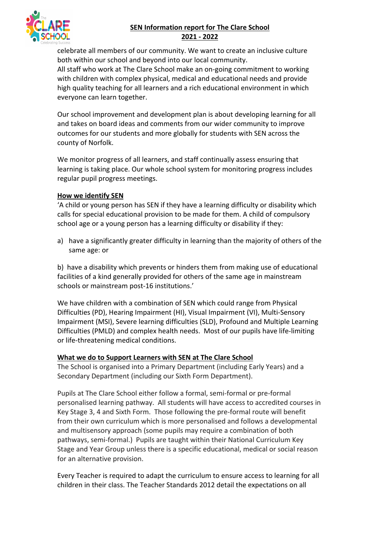

# **SEN Information report for The Clare School 2021 - 2022**

celebrate all members of our community. We want to create an inclusive culture both within our school and beyond into our local community.

All staff who work at The Clare School make an on-going commitment to working with children with complex physical, medical and educational needs and provide high quality teaching for all learners and a rich educational environment in which everyone can learn together.

Our school improvement and development plan is about developing learning for all and takes on board ideas and comments from our wider community to improve outcomes for our students and more globally for students with SEN across the county of Norfolk.

We monitor progress of all learners, and staff continually assess ensuring that learning is taking place. Our whole school system for monitoring progress includes regular pupil progress meetings.

## **How we identify SEN**

'A child or young person has SEN if they have a learning difficulty or disability which calls for special educational provision to be made for them. A child of compulsory school age or a young person has a learning difficulty or disability if they:

a) have a significantly greater difficulty in learning than the majority of others of the same age: or

b) have a disability which prevents or hinders them from making use of educational facilities of a kind generally provided for others of the same age in mainstream schools or mainstream post-16 institutions.'

We have children with a combination of SEN which could range from Physical Difficulties (PD), Hearing Impairment (HI), Visual Impairment (VI), Multi-Sensory Impairment (MSI), Severe learning difficulties (SLD), Profound and Multiple Learning Difficulties (PMLD) and complex health needs. Most of our pupils have life-limiting or life-threatening medical conditions.

#### **What we do to Support Learners with SEN at The Clare School**

The School is organised into a Primary Department (including Early Years) and a Secondary Department (including our Sixth Form Department).

Pupils at The Clare School either follow a formal, semi-formal or pre-formal personalised learning pathway. All students will have access to accredited courses in Key Stage 3, 4 and Sixth Form. Those following the pre-formal route will benefit from their own curriculum which is more personalised and follows a developmental and multisensory approach (some pupils may require a combination of both pathways, semi-formal.) Pupils are taught within their National Curriculum Key Stage and Year Group unless there is a specific educational, medical or social reason for an alternative provision.

Every Teacher is required to adapt the curriculum to ensure access to learning for all children in their class. The Teacher Standards 2012 detail the expectations on all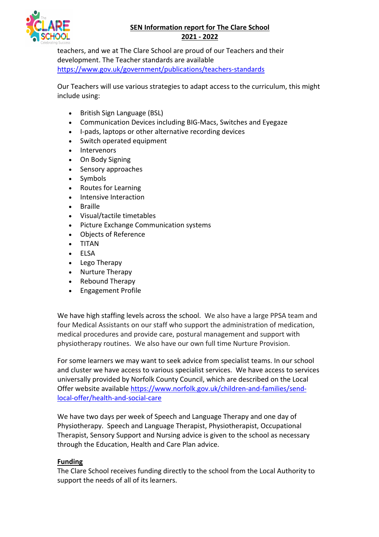# **SEN Information report for The Clare School 2021 - 2022**



teachers, and we at The Clare School are proud of our Teachers and their development. The Teacher standards are available https://www.gov.uk/government/publications/teachers-standards

Our Teachers will use various strategies to adapt access to the curriculum, this might include using:

- British Sign Language (BSL)
- Communication Devices including BIG-Macs, Switches and Eyegaze
- I-pads, laptops or other alternative recording devices
- Switch operated equipment
- Intervenors
- On Body Signing
- Sensory approaches
- Symbols
- Routes for Learning
- Intensive Interaction
- Braille
- Visual/tactile timetables
- Picture Exchange Communication systems
- Objects of Reference
- TITAN
- ELSA
- Lego Therapy
- Nurture Therapy
- Rebound Therapy
- Engagement Profile

We have high staffing levels across the school. We also have a large PPSA team and four Medical Assistants on our staff who support the administration of medication, medical procedures and provide care, postural management and support with physiotherapy routines. We also have our own full time Nurture Provision.

For some learners we may want to seek advice from specialist teams. In our school and cluster we have access to various specialist services. We have access to services universally provided by Norfolk County Council, which are described on the Local Offer website available https://www.norfolk.gov.uk/children-and-families/sendlocal-offer/health-and-social-care

We have two days per week of Speech and Language Therapy and one day of Physiotherapy. Speech and Language Therapist, Physiotherapist, Occupational Therapist, Sensory Support and Nursing advice is given to the school as necessary through the Education, Health and Care Plan advice.

#### **Funding**

The Clare School receives funding directly to the school from the Local Authority to support the needs of all of its learners.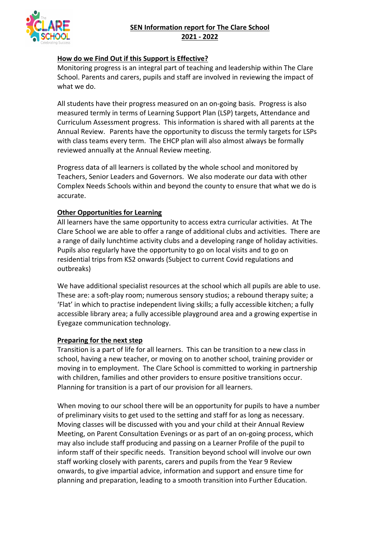

### **How do we Find Out if this Support is Effective?**

Monitoring progress is an integral part of teaching and leadership within The Clare School. Parents and carers, pupils and staff are involved in reviewing the impact of what we do.

All students have their progress measured on an on-going basis. Progress is also measured termly in terms of Learning Support Plan (LSP) targets, Attendance and Curriculum Assessment progress. This information is shared with all parents at the Annual Review. Parents have the opportunity to discuss the termly targets for LSPs with class teams every term. The EHCP plan will also almost always be formally reviewed annually at the Annual Review meeting.

Progress data of all learners is collated by the whole school and monitored by Teachers, Senior Leaders and Governors. We also moderate our data with other Complex Needs Schools within and beyond the county to ensure that what we do is accurate.

## **Other Opportunities for Learning**

All learners have the same opportunity to access extra curricular activities. At The Clare School we are able to offer a range of additional clubs and activities. There are a range of daily lunchtime activity clubs and a developing range of holiday activities. Pupils also regularly have the opportunity to go on local visits and to go on residential trips from KS2 onwards (Subject to current Covid regulations and outbreaks)

We have additional specialist resources at the school which all pupils are able to use. These are: a soft-play room; numerous sensory studios; a rebound therapy suite; a 'Flat' in which to practise independent living skills; a fully accessible kitchen; a fully accessible library area; a fully accessible playground area and a growing expertise in Eyegaze communication technology.

#### **Preparing for the next step**

Transition is a part of life for all learners. This can be transition to a new class in school, having a new teacher, or moving on to another school, training provider or moving in to employment. The Clare School is committed to working in partnership with children, families and other providers to ensure positive transitions occur. Planning for transition is a part of our provision for all learners.

When moving to our school there will be an opportunity for pupils to have a number of preliminary visits to get used to the setting and staff for as long as necessary. Moving classes will be discussed with you and your child at their Annual Review Meeting, on Parent Consultation Evenings or as part of an on-going process, which may also include staff producing and passing on a Learner Profile of the pupil to inform staff of their specific needs. Transition beyond school will involve our own staff working closely with parents, carers and pupils from the Year 9 Review onwards, to give impartial advice, information and support and ensure time for planning and preparation, leading to a smooth transition into Further Education.